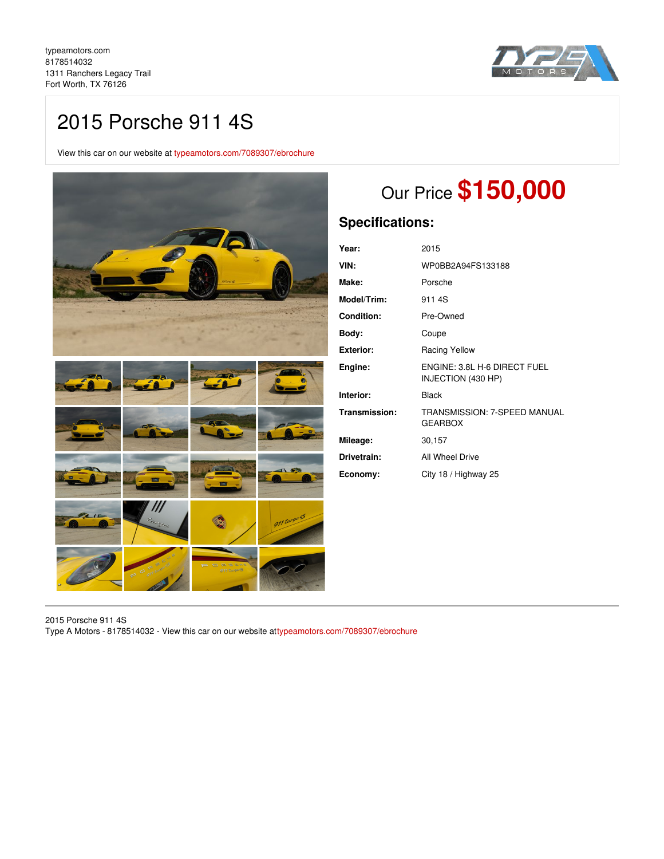

# 2015 Porsche 911 4S

View this car on our website at [typeamotors.com/7089307/ebrochure](https://typeamotors.com/vehicle/7089307/2015-porsche-911-4s-fort-worth-tx-76126/7089307/ebrochure)



# Our Price **\$150,000**

## **Specifications:**

| Year:             | 2015                                               |
|-------------------|----------------------------------------------------|
| VIN:              | WP0BB2A94FS133188                                  |
| Make:             | Porsche                                            |
| Model/Trim:       | 911 4S                                             |
| <b>Condition:</b> | Pre-Owned                                          |
| Body:             | Coupe                                              |
| <b>Exterior:</b>  | Racing Yellow                                      |
| Engine:           | ENGINE: 3.8L H-6 DIRECT FUEL<br>INJECTION (430 HP) |
| Interior:         | <b>Black</b>                                       |
| Transmission:     | TRANSMISSION: 7-SPEED MANUAL<br><b>GEARBOX</b>     |
| Mileage:          | 30,157                                             |
| Drivetrain:       | All Wheel Drive                                    |
| Economy:          | City 18 / Highway 25                               |

2015 Porsche 911 4S Type A Motors - 8178514032 - View this car on our website a[ttypeamotors.com/7089307/ebrochure](https://typeamotors.com/vehicle/7089307/2015-porsche-911-4s-fort-worth-tx-76126/7089307/ebrochure)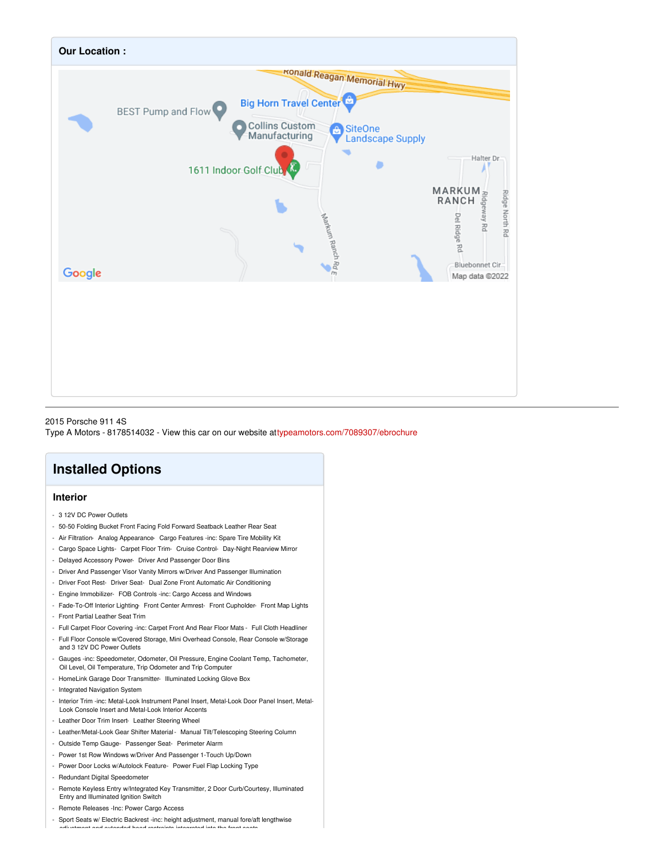

2015 Porsche 911 4S Type A Motors - 8178514032 - View this car on our website a[ttypeamotors.com/7089307/ebrochure](https://typeamotors.com/vehicle/7089307/2015-porsche-911-4s-fort-worth-tx-76126/7089307/ebrochure)

## **Installed Options**

### **Interior**

- 3 12V DC Power Outlets
- 50-50 Folding Bucket Front Facing Fold Forward Seatback Leather Rear Seat
- Air Filtration- Analog Appearance- Cargo Features -inc: Spare Tire Mobility Kit
- Cargo Space Lights- Carpet Floor Trim- Cruise Control- Day-Night Rearview Mirror
- Delayed Accessory Power- Driver And Passenger Door Bins
- Driver And Passenger Visor Vanity Mirrors w/Driver And Passenger Illumination
- Driver Foot Rest- Driver Seat- Dual Zone Front Automatic Air Conditioning
- Engine Immobilizer- FOB Controls -inc: Cargo Access and Windows
- Fade-To-Off Interior Lighting- Front Center Armrest- Front Cupholder- Front Map Lights - Front Partial Leather Seat Trim
- Full Carpet Floor Covering -inc: Carpet Front And Rear Floor Mats Full Cloth Headliner
- Full Floor Console w/Covered Storage, Mini Overhead Console, Rear Console w/Storage and 3 12V DC Power Outlets
- Gauges -inc: Speedometer, Odometer, Oil Pressure, Engine Coolant Temp, Tachometer, Oil Level, Oil Temperature, Trip Odometer and Trip Computer
- HomeLink Garage Door Transmitter- Illuminated Locking Glove Box
- Integrated Navigation System
- Interior Trim -inc: Metal-Look Instrument Panel Insert, Metal-Look Door Panel Insert, Metal-Look Console Insert and Metal-Look Interior Accents
- Leather Door Trim Insert- Leather Steering Wheel
- Leather/Metal-Look Gear Shifter Material- Manual Tilt/Telescoping Steering Column
- Outside Temp Gauge- Passenger Seat- Perimeter Alarm
- Power 1st Row Windows w/Driver And Passenger 1-Touch Up/Down
- Power Door Locks w/Autolock Feature- Power Fuel Flap Locking Type
- Redundant Digital Speedometer
- Remote Keyless Entry w/Integrated Key Transmitter, 2 Door Curb/Courtesy, Illuminated Entry and Illuminated Ignition Switch
- Remote Releases -Inc: Power Cargo Access
- Sport Seats w/ Electric Backrest -inc: height adjustment, manual fore/aft lengthwise adjustment and extended head restraints integrated into the front seats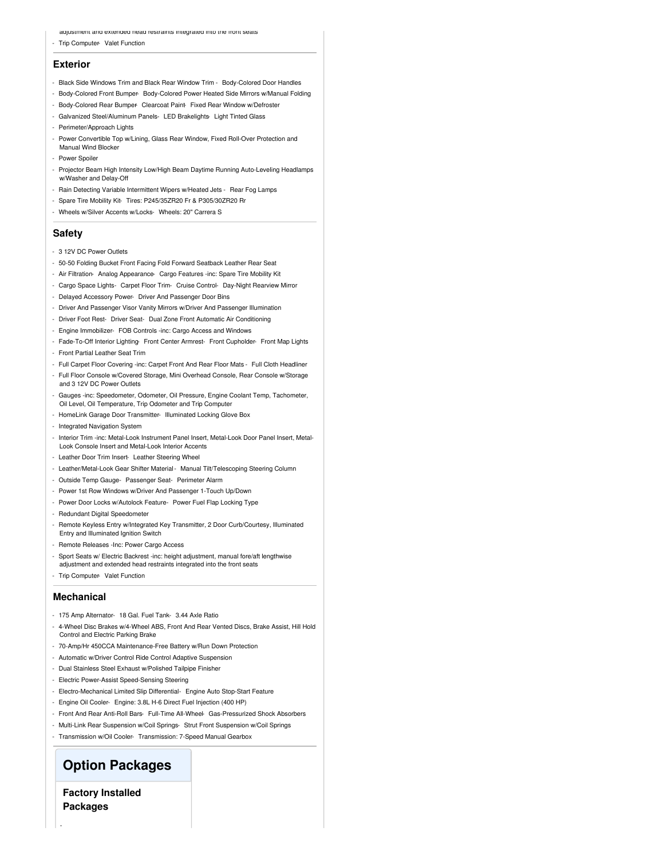adjustment and extended head restraints integrated into the front seats

- Trip Computer- Valet Function

#### **Exterior**

- Black Side Windows Trim and Black Rear Window Trim Body-Colored Door Handles
- Body-Colored Front Bumper- Body-Colored Power Heated Side Mirrors w/Manual Folding
- Body-Colored Rear Bumper- Clearcoat Paint-Fixed Rear Window w/Defroster
- Galvanized Steel/Aluminum Panels- LED Brakelights- Light Tinted Glass
- Perimeter/Approach Lights

- Power Convertible Top w/Lining, Glass Rear Window, Fixed Roll-Over Protection and Manual Wind Blocker

- Power Spoiler
- Projector Beam High Intensity Low/High Beam Daytime Running Auto-Leveling Headlamps w/Washer and Delay-Off
- Rain Detecting Variable Intermittent Wipers w/Heated Jets Rear Fog Lamps
- Spare Tire Mobility Kit- Tires: P245/35ZR20 Fr & P305/30ZR20 Rr
- Wheels w/Silver Accents w/Locks- Wheels: 20" Carrera S

#### **Safety**

- 3 12V DC Power Outlets
- 50-50 Folding Bucket Front Facing Fold Forward Seatback Leather Rear Seat
- Air Filtration- Analog Appearance- Cargo Features -inc: Spare Tire Mobility Kit
- Cargo Space Lights- Carpet Floor Trim- Cruise Control- Day-Night Rearview Mirror
- Delayed Accessory Power- Driver And Passenger Door Bins
- Driver And Passenger Visor Vanity Mirrors w/Driver And Passenger Illumination
- Driver Foot Rest- Driver Seat- Dual Zone Front Automatic Air Conditioning
- Engine Immobilizer- FOB Controls -inc: Cargo Access and Windows
- Fade-To-Off Interior Lighting- Front Center Armrest- Front Cupholder- Front Map Lights
- Front Partial Leather Seat Trim
- Full Carpet Floor Covering -inc: Carpet Front And Rear Floor Mats Full Cloth Headliner
- Full Floor Console w/Covered Storage, Mini Overhead Console, Rear Console w/Storage and 3 12V DC Power Outlets
- Gauges -inc: Speedometer, Odometer, Oil Pressure, Engine Coolant Temp, Tachometer, Oil Level, Oil Temperature, Trip Odometer and Trip Computer
- HomeLink Garage Door Transmitter- Illuminated Locking Glove Box
- Integrated Navigation System
- Interior Trim -inc: Metal-Look Instrument Panel Insert, Metal-Look Door Panel Insert, Metal-Look Console Insert and Metal-Look Interior Accents
- Leather Door Trim Insert- Leather Steering Wheel
- Leather/Metal-Look Gear Shifter Material- Manual Tilt/Telescoping Steering Column
- Outside Temp Gauge- Passenger Seat- Perimeter Alarm
- Power 1st Row Windows w/Driver And Passenger 1-Touch Up/Down
- Power Door Locks w/Autolock Feature- Power Fuel Flap Locking Type
- Redundant Digital Speedometer
- Remote Keyless Entry w/Integrated Key Transmitter, 2 Door Curb/Courtesy, Illuminated Entry and Illuminated Ignition Switch
- Remote Releases -Inc: Power Cargo Access
- Sport Seats w/ Electric Backrest -inc: height adjustment, manual fore/aft lengthwise adjustment and extended head restraints integrated into the front seats
- Trip Computer- Valet Function

### **Mechanical**

- 175 Amp Alternator- 18 Gal. Fuel Tank- 3.44 Axle Ratio
- 4-Wheel Disc Brakes w/4-Wheel ABS, Front And Rear Vented Discs, Brake Assist, Hill Hold Control and Electric Parking Brake
- 70-Amp/Hr 450CCA Maintenance-Free Battery w/Run Down Protection
- Automatic w/Driver Control Ride Control Adaptive Suspension
- Dual Stainless Steel Exhaust w/Polished Tailpipe Finisher
- Electric Power-Assist Speed-Sensing Steering
- Electro-Mechanical Limited Slip Differential- Engine Auto Stop-Start Feature
- Engine Oil Cooler- Engine: 3.8L H-6 Direct Fuel Injection (400 HP)
- Front And Rear Anti-Roll Bars- Full-Time All-Wheel- Gas-Pressurized Shock Absorbers
- Multi-Link Rear Suspension w/Coil Springs- Strut Front Suspension w/Coil Springs
- Transmission w/Oil Cooler- Transmission: 7-Speed Manual Gearbox

## **Option Packages**

**Factory Installed Packages**

-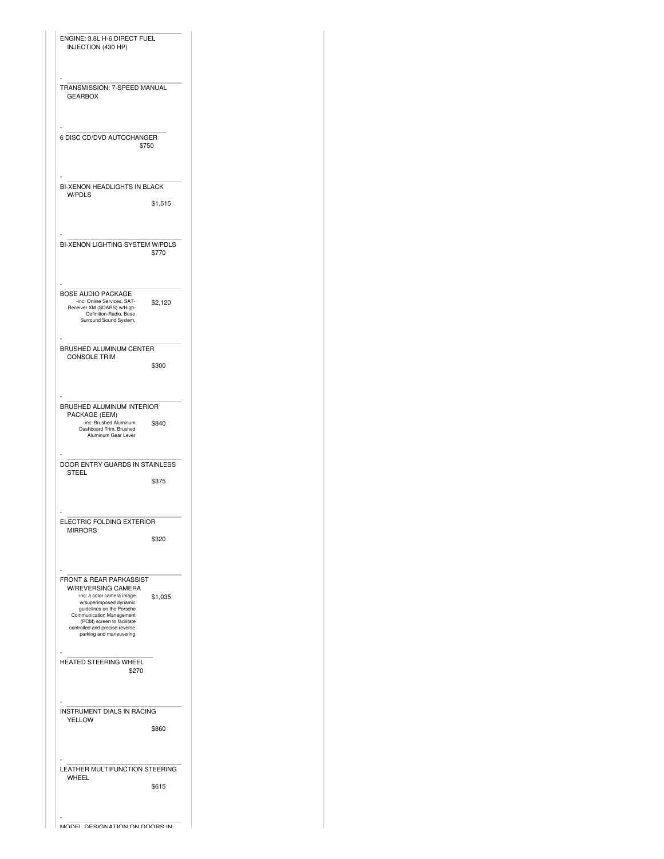| ENGINE: 3.8L H-6 DIRECT FUEL<br>INJECTION (430 HP)                                                                                                                                                                                                                          |         |
|-----------------------------------------------------------------------------------------------------------------------------------------------------------------------------------------------------------------------------------------------------------------------------|---------|
| TRANSMISSION: 7-SPEED MANUAL<br><b>GEARBOX</b>                                                                                                                                                                                                                              |         |
| 6 DISC CD/DVD AUTOCHANGER<br>\$750                                                                                                                                                                                                                                          |         |
| BI-XENON HEADLIGHTS IN BLACK<br><b>W/PDLS</b>                                                                                                                                                                                                                               |         |
|                                                                                                                                                                                                                                                                             | \$1,515 |
| BI-XENON LIGHTING SYSTEM W/PDLS                                                                                                                                                                                                                                             | \$770   |
| <b>BOSE AUDIO PACKAGE</b><br>-inc: Online Services, SAT-                                                                                                                                                                                                                    | \$2,120 |
| Receiver XM (SDARS) w/High-<br>Definition-Radio, Bose<br>Surround Sound System,                                                                                                                                                                                             |         |
| BRUSHED ALUMINUM CENTER<br><b>CONSOLE TRIM</b>                                                                                                                                                                                                                              | \$300   |
|                                                                                                                                                                                                                                                                             |         |
| BRUSHED ALUMINUM INTERIOR<br>PACKAGE (EEM)<br>-inc: Brushed Aluminum<br>Dashboard Trim, Brushed<br>Aluminum Gear Lever                                                                                                                                                      | \$840   |
| DOOR ENTRY GUARDS IN STAINLESS<br><b>STEEL</b>                                                                                                                                                                                                                              |         |
|                                                                                                                                                                                                                                                                             | \$375   |
| ELECTRIC FOLDING EXTERIOR<br><b>MIRRORS</b>                                                                                                                                                                                                                                 |         |
|                                                                                                                                                                                                                                                                             | \$320   |
| <b>FRONT &amp; REAR PARKASSIST</b><br><b>W/REVERSING CAMERA</b><br>-inc: a color camera image<br>w/superimposed dynamic<br>guidelines on the Porsche<br>Communication Management<br>(PCM) screen to facilitate<br>controlled and precise reverse<br>parking and maneuvering | \$1,035 |
| HEATED STEERING WHEEL<br>\$270                                                                                                                                                                                                                                              |         |
| INSTRUMENT DIALS IN RACING<br><b>YELLOW</b>                                                                                                                                                                                                                                 | \$860   |
|                                                                                                                                                                                                                                                                             |         |
| LEATHER MULTIFUNCTION STEERING<br>WHEEL                                                                                                                                                                                                                                     | \$615   |
|                                                                                                                                                                                                                                                                             |         |

MODEL DESIGNATION ON DOORS IN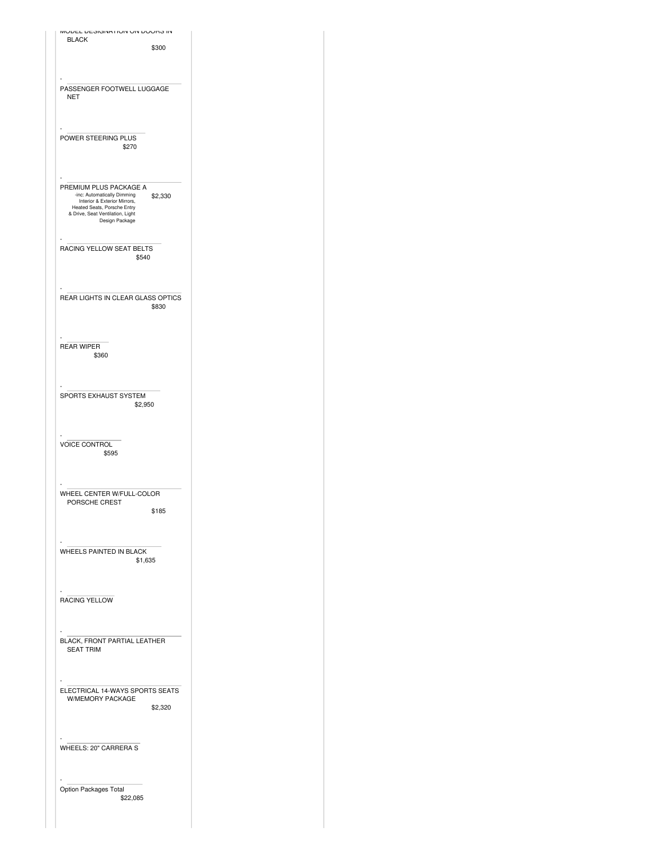| וווסטער איז איוועוואראנט ווא                                                                                                                                                          |
|---------------------------------------------------------------------------------------------------------------------------------------------------------------------------------------|
| <b>BLACK</b><br>\$300                                                                                                                                                                 |
| PASSENGER FOOTWELL LUGGAGE<br><b>NET</b>                                                                                                                                              |
| POWER STEERING PLUS<br>\$270                                                                                                                                                          |
| PREMIUM PLUS PACKAGE A<br>-inc: Automatically Dimming<br>\$2,330<br>Interior & Exterior Mirrors,<br>Heated Seats, Porsche Entry<br>& Drive, Seat Ventilation, Light<br>Design Package |
| RACING YELLOW SEAT BELTS<br>\$540                                                                                                                                                     |
| REAR LIGHTS IN CLEAR GLASS OPTICS<br>\$830                                                                                                                                            |
| <b>REAR WIPER</b><br>\$360                                                                                                                                                            |
| SPORTS EXHAUST SYSTEM<br>\$2,950                                                                                                                                                      |
| <b>VOICE CONTROL</b><br>\$595                                                                                                                                                         |
| WHEEL CENTER W/FULL-COLOR<br>PORSCHE CREST<br>\$185                                                                                                                                   |
| WHEELS PAINTED IN BLACK<br>\$1,635                                                                                                                                                    |
| RACING YELLOW                                                                                                                                                                         |
| BLACK, FRONT PARTIAL LEATHER<br><b>SEAT TRIM</b>                                                                                                                                      |
| ELECTRICAL 14-WAYS SPORTS SEATS<br>W/MEMORY PACKAGE<br>\$2,320                                                                                                                        |
| WHEELS: 20" CARRERA S                                                                                                                                                                 |
| Option Packages Total<br>\$22,085                                                                                                                                                     |